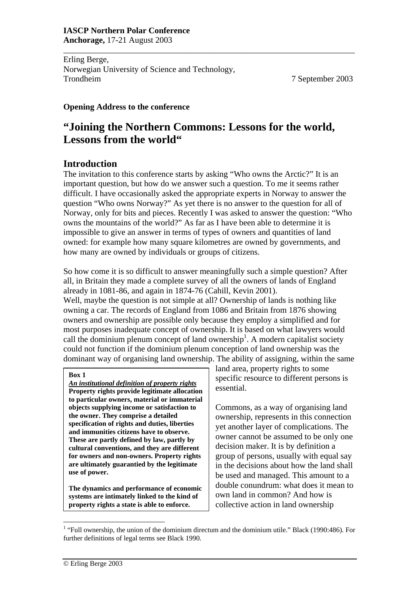Erling Berge, Norwegian University of Science and Technology, Trondheim 7 September 2003

#### **Opening Address to the conference**

# **"Joining the Northern Commons: Lessons for the world, Lessons from the world"**

\_\_\_\_\_\_\_\_\_\_\_\_\_\_\_\_\_\_\_\_\_\_\_\_\_\_\_\_\_\_\_\_\_\_\_\_\_\_\_\_\_\_\_\_\_\_\_\_\_\_\_\_\_\_\_\_\_\_\_\_\_\_\_\_\_\_\_\_\_

## **Introduction**

The invitation to this conference starts by asking "Who owns the Arctic?" It is an important question, but how do we answer such a question. To me it seems rather difficult. I have occasionally asked the appropriate experts in Norway to answer the question "Who owns Norway?" As yet there is no answer to the question for all of Norway, only for bits and pieces. Recently I was asked to answer the question: "Who owns the mountains of the world?" As far as I have been able to determine it is impossible to give an answer in terms of types of owners and quantities of land owned: for example how many square kilometres are owned by governments, and how many are owned by individuals or groups of citizens.

So how come it is so difficult to answer meaningfully such a simple question? After all, in Britain they made a complete survey of all the owners of lands of England already in 1081-86, and again in 1874-76 (Cahill, Kevin 2001).

Well, maybe the question is not simple at all? Ownership of lands is nothing like owning a car. The records of England from 1086 and Britain from 1876 showing owners and ownership are possible only because they employ a simplified and for most purposes inadequate concept of ownership. It is based on what lawyers would call the dominium plenum concept of land ownership<sup>1</sup>. A modern capitalist society could not function if the dominium plenum conception of land ownership was the dominant way of organising land ownership. The ability of assigning, within the same

#### **Box 1**

*An institutional definition of property rights* **Property rights provide legitimate allocation to particular owners, material or immaterial objects supplying income or satisfaction to the owner. They comprise a detailed specification of rights and duties, liberties and immunities citizens have to observe. These are partly defined by law, partly by cultural conventions, and they are different for owners and non-owners. Property rights are ultimately guarantied by the legitimate use of power.** 

**The dynamics and performance of economic systems are intimately linked to the kind of property rights a state is able to enforce.** 

land area, property rights to some specific resource to different persons is essential.

Commons, as a way of organising land ownership, represents in this connection yet another layer of complications. The owner cannot be assumed to be only one decision maker. It is by definition a group of persons, usually with equal say in the decisions about how the land shall be used and managed. This amount to a double conundrum: what does it mean to own land in common? And how is collective action in land ownership

 $\overline{a}$ 

<sup>&</sup>lt;sup>1</sup> "Full ownership, the union of the dominium directum and the dominium utile." Black (1990:486). For further definitions of legal terms see Black 1990.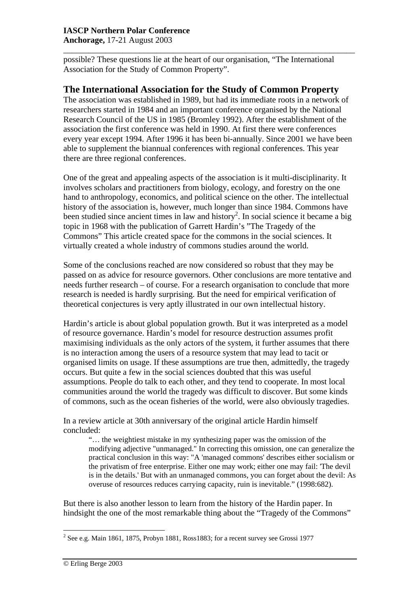## **IASCP Northern Polar Conference**

**Anchorage,** 17-21 August 2003

possible? These questions lie at the heart of our organisation, "The International Association for the Study of Common Property".

\_\_\_\_\_\_\_\_\_\_\_\_\_\_\_\_\_\_\_\_\_\_\_\_\_\_\_\_\_\_\_\_\_\_\_\_\_\_\_\_\_\_\_\_\_\_\_\_\_\_\_\_\_\_\_\_\_\_\_\_\_\_\_\_\_\_\_\_\_

## **The International Association for the Study of Common Property**

The association was established in 1989, but had its immediate roots in a network of researchers started in 1984 and an important conference organised by the National Research Council of the US in 1985 (Bromley 1992). After the establishment of the association the first conference was held in 1990. At first there were conferences every year except 1994. After 1996 it has been bi-annually. Since 2001 we have been able to supplement the biannual conferences with regional conferences. This year there are three regional conferences.

One of the great and appealing aspects of the association is it multi-disciplinarity. It involves scholars and practitioners from biology, ecology, and forestry on the one hand to anthropology, economics, and political science on the other. The intellectual history of the association is, however, much longer than since 1984. Commons have been studied since ancient times in law and history<sup>2</sup>. In social science it became a big topic in 1968 with the publication of Garrett Hardin's "The Tragedy of the Commons" This article created space for the commons in the social sciences. It virtually created a whole industry of commons studies around the world.

Some of the conclusions reached are now considered so robust that they may be passed on as advice for resource governors. Other conclusions are more tentative and needs further research – of course. For a research organisation to conclude that more research is needed is hardly surprising. But the need for empirical verification of theoretical conjectures is very aptly illustrated in our own intellectual history.

Hardin's article is about global population growth. But it was interpreted as a model of resource governance. Hardin's model for resource destruction assumes profit maximising individuals as the only actors of the system, it further assumes that there is no interaction among the users of a resource system that may lead to tacit or organised limits on usage. If these assumptions are true then, admittedly, the tragedy occurs. But quite a few in the social sciences doubted that this was useful assumptions. People do talk to each other, and they tend to cooperate. In most local communities around the world the tragedy was difficult to discover. But some kinds of commons, such as the ocean fisheries of the world, were also obviously tragedies.

In a review article at 30th anniversary of the original article Hardin himself concluded:

"… the weightiest mistake in my synthesizing paper was the omission of the modifying adjective "unmanaged." In correcting this omission, one can generalize the practical conclusion in this way: "A 'managed commons' describes either socialism or the privatism of free enterprise. Either one may work; either one may fail: 'The devil is in the details.' But with an unmanaged commons, you can forget about the devil: As overuse of resources reduces carrying capacity, ruin is inevitable." (1998:682).

But there is also another lesson to learn from the history of the Hardin paper. In hindsight the one of the most remarkable thing about the "Tragedy of the Commons"

<sup>&</sup>lt;sup>2</sup> See e.g. Main 1861, 1875, Probyn 1881, Ross1883; for a recent survey see Grossi 1977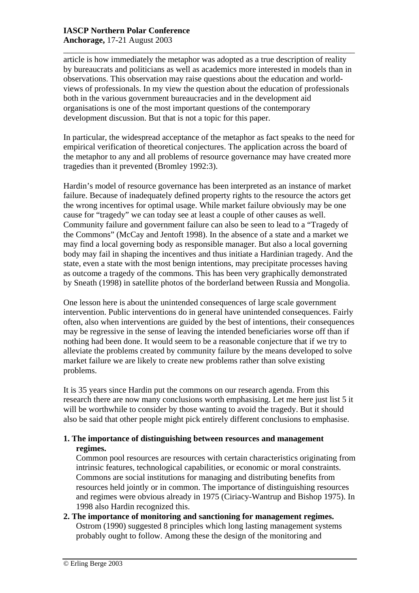\_\_\_\_\_\_\_\_\_\_\_\_\_\_\_\_\_\_\_\_\_\_\_\_\_\_\_\_\_\_\_\_\_\_\_\_\_\_\_\_\_\_\_\_\_\_\_\_\_\_\_\_\_\_\_\_\_\_\_\_\_\_\_\_\_\_\_\_\_ article is how immediately the metaphor was adopted as a true description of reality by bureaucrats and politicians as well as academics more interested in models than in observations. This observation may raise questions about the education and worldviews of professionals. In my view the question about the education of professionals both in the various government bureaucracies and in the development aid organisations is one of the most important questions of the contemporary development discussion. But that is not a topic for this paper.

In particular, the widespread acceptance of the metaphor as fact speaks to the need for empirical verification of theoretical conjectures. The application across the board of the metaphor to any and all problems of resource governance may have created more tragedies than it prevented (Bromley 1992:3).

Hardin's model of resource governance has been interpreted as an instance of market failure. Because of inadequately defined property rights to the resource the actors get the wrong incentives for optimal usage. While market failure obviously may be one cause for "tragedy" we can today see at least a couple of other causes as well. Community failure and government failure can also be seen to lead to a "Tragedy of the Commons" (McCay and Jentoft 1998). In the absence of a state and a market we may find a local governing body as responsible manager. But also a local governing body may fail in shaping the incentives and thus initiate a Hardinian tragedy. And the state, even a state with the most benign intentions, may precipitate processes having as outcome a tragedy of the commons. This has been very graphically demonstrated by Sneath (1998) in satellite photos of the borderland between Russia and Mongolia.

One lesson here is about the unintended consequences of large scale government intervention. Public interventions do in general have unintended consequences. Fairly often, also when interventions are guided by the best of intentions, their consequences may be regressive in the sense of leaving the intended beneficiaries worse off than if nothing had been done. It would seem to be a reasonable conjecture that if we try to alleviate the problems created by community failure by the means developed to solve market failure we are likely to create new problems rather than solve existing problems.

It is 35 years since Hardin put the commons on our research agenda. From this research there are now many conclusions worth emphasising. Let me here just list 5 it will be worthwhile to consider by those wanting to avoid the tragedy. But it should also be said that other people might pick entirely different conclusions to emphasise.

#### **1. The importance of distinguishing between resources and management regimes.**

Common pool resources are resources with certain characteristics originating from intrinsic features, technological capabilities, or economic or moral constraints. Commons are social institutions for managing and distributing benefits from resources held jointly or in common. The importance of distinguishing resources and regimes were obvious already in 1975 (Ciriacy-Wantrup and Bishop 1975). In 1998 also Hardin recognized this.

**2. The importance of monitoring and sanctioning for management regimes.**  Ostrom (1990) suggested 8 principles which long lasting management systems probably ought to follow. Among these the design of the monitoring and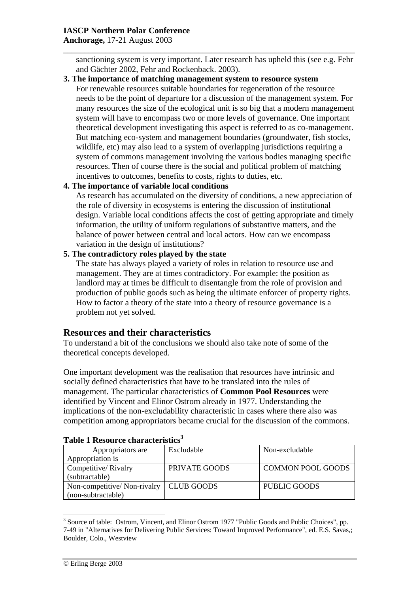### **IASCP Northern Polar Conference**

**Anchorage,** 17-21 August 2003

sanctioning system is very important. Later research has upheld this (see e.g. Fehr and Gächter 2002, Fehr and Rockenback. 2003).

\_\_\_\_\_\_\_\_\_\_\_\_\_\_\_\_\_\_\_\_\_\_\_\_\_\_\_\_\_\_\_\_\_\_\_\_\_\_\_\_\_\_\_\_\_\_\_\_\_\_\_\_\_\_\_\_\_\_\_\_\_\_\_\_\_\_\_\_\_

**3. The importance of matching management system to resource system**  For renewable resources suitable boundaries for regeneration of the resource needs to be the point of departure for a discussion of the management system. For many resources the size of the ecological unit is so big that a modern management system will have to encompass two or more levels of governance. One important theoretical development investigating this aspect is referred to as co-management. But matching eco-system and management boundaries (groundwater, fish stocks, wildlife, etc) may also lead to a system of overlapping jurisdictions requiring a system of commons management involving the various bodies managing specific resources. Then of course there is the social and political problem of matching incentives to outcomes, benefits to costs, rights to duties, etc.

## **4. The importance of variable local conditions**

As research has accumulated on the diversity of conditions, a new appreciation of the role of diversity in ecosystems is entering the discussion of institutional design. Variable local conditions affects the cost of getting appropriate and timely information, the utility of uniform regulations of substantive matters, and the balance of power between central and local actors. How can we encompass variation in the design of institutions?

#### **5. The contradictory roles played by the state**

The state has always played a variety of roles in relation to resource use and management. They are at times contradictory. For example: the position as landlord may at times be difficult to disentangle from the role of provision and production of public goods such as being the ultimate enforcer of property rights. How to factor a theory of the state into a theory of resource governance is a problem not yet solved.

## **Resources and their characteristics**

To understand a bit of the conclusions we should also take note of some of the theoretical concepts developed.

One important development was the realisation that resources have intrinsic and socially defined characteristics that have to be translated into the rules of management. The particular characteristics of **Common Pool Resources** were identified by Vincent and Elinor Ostrom already in 1977. Understanding the implications of the non-excludability characteristic in cases where there also was competition among appropriators became crucial for the discussion of the commons.

| Table T Resource characteristics |                   |                          |
|----------------------------------|-------------------|--------------------------|
| Appropriators are                | Excludable        | Non-excludable           |
| Appropriation is                 |                   |                          |
| Competitive/Rivalry              | PRIVATE GOODS     | <b>COMMON POOL GOODS</b> |
| (subtractable)                   |                   |                          |
| Non-competitive/Non-rivalry      | <b>CLUB GOODS</b> | PUBLIC GOODS             |
| (non-subtractable)               |                   |                          |

## **Table 1 Resource characteristics3**

 $\overline{a}$ <sup>3</sup> Source of table: Ostrom, Vincent, and Elinor Ostrom 1977 "Public Goods and Public Choices", pp. 7-49 in "Alternatives for Delivering Public Services: Toward Improved Performance", ed. E.S. Savas,; Boulder, Colo., Westview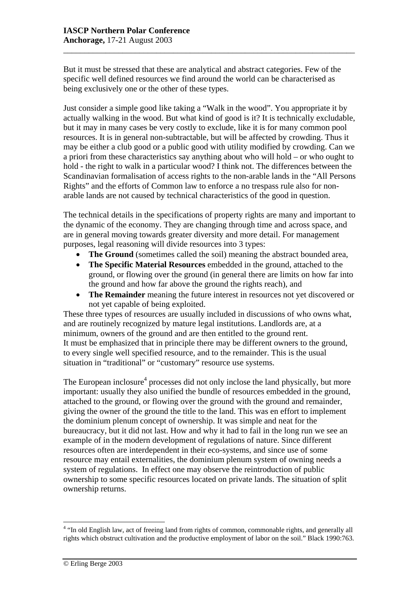But it must be stressed that these are analytical and abstract categories. Few of the specific well defined resources we find around the world can be characterised as being exclusively one or the other of these types.

\_\_\_\_\_\_\_\_\_\_\_\_\_\_\_\_\_\_\_\_\_\_\_\_\_\_\_\_\_\_\_\_\_\_\_\_\_\_\_\_\_\_\_\_\_\_\_\_\_\_\_\_\_\_\_\_\_\_\_\_\_\_\_\_\_\_\_\_\_

Just consider a simple good like taking a "Walk in the wood". You appropriate it by actually walking in the wood. But what kind of good is it? It is technically excludable, but it may in many cases be very costly to exclude, like it is for many common pool resources. It is in general non-subtractable, but will be affected by crowding. Thus it may be either a club good or a public good with utility modified by crowding. Can we a priori from these characteristics say anything about who will hold – or who ought to hold - the right to walk in a particular wood? I think not. The differences between the Scandinavian formalisation of access rights to the non-arable lands in the "All Persons Rights" and the efforts of Common law to enforce a no trespass rule also for nonarable lands are not caused by technical characteristics of the good in question.

The technical details in the specifications of property rights are many and important to the dynamic of the economy. They are changing through time and across space, and are in general moving towards greater diversity and more detail. For management purposes, legal reasoning will divide resources into 3 types:

- **The Ground** (sometimes called the soil) meaning the abstract bounded area,
- **The Specific Material Resources** embedded in the ground, attached to the ground, or flowing over the ground (in general there are limits on how far into the ground and how far above the ground the rights reach), and
- **The Remainder** meaning the future interest in resources not yet discovered or not yet capable of being exploited.

These three types of resources are usually included in discussions of who owns what, and are routinely recognized by mature legal institutions. Landlords are, at a minimum, owners of the ground and are then entitled to the ground rent. It must be emphasized that in principle there may be different owners to the ground, to every single well specified resource, and to the remainder. This is the usual situation in "traditional" or "customary" resource use systems.

The European inclosure<sup>4</sup> processes did not only inclose the land physically, but more important: usually they also unified the bundle of resources embedded in the ground, attached to the ground, or flowing over the ground with the ground and remainder, giving the owner of the ground the title to the land. This was en effort to implement the dominium plenum concept of ownership. It was simple and neat for the bureaucracy, but it did not last. How and why it had to fail in the long run we see an example of in the modern development of regulations of nature. Since different resources often are interdependent in their eco-systems, and since use of some resource may entail externalities, the dominium plenum system of owning needs a system of regulations. In effect one may observe the reintroduction of public ownership to some specific resources located on private lands. The situation of split ownership returns.

 $\overline{a}$ 

<sup>&</sup>lt;sup>4</sup> "In old English law, act of freeing land from rights of common, commonable rights, and generally all rights which obstruct cultivation and the productive employment of labor on the soil." Black 1990:763.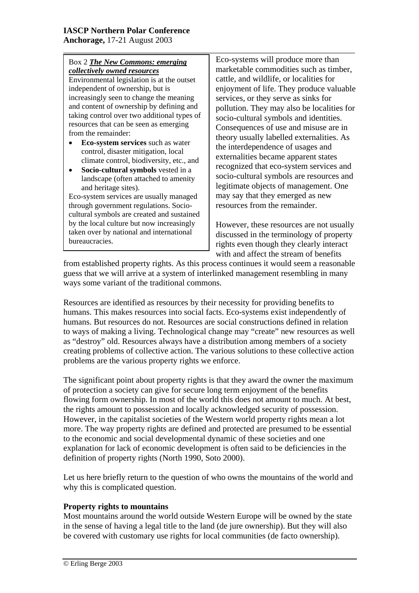## Box 2 *The New Commons: emerging collectively owned resources*

Environmental legislation is at the outset independent of ownership, but is increasingly seen to change the meaning and content of ownership by defining and taking control over two additional types of resources that can be seen as emerging from the remainder:

- **Eco-system services** such as water control, disaster mitigation, local climate control, biodiversity, etc., and
- **Socio-cultural symbols** vested in a landscape (often attached to amenity and heritage sites).

Eco-system services are usually managed through government regulations. Sociocultural symbols are created and sustained by the local culture but now increasingly taken over by national and international bureaucracies.

Eco-systems will produce more than marketable commodities such as timber, cattle, and wildlife, or localities for enjoyment of life. They produce valuable services, or they serve as sinks for pollution. They may also be localities for socio-cultural symbols and identities. Consequences of use and misuse are in theory usually labelled externalities. As the interdependence of usages and externalities became apparent states recognized that eco-system services and socio-cultural symbols are resources and legitimate objects of management. One may say that they emerged as new resources from the remainder.

However, these resources are not usually discussed in the terminology of property rights even though they clearly interact with and affect the stream of benefits

from established property rights. As this process continues it would seem a reasonable guess that we will arrive at a system of interlinked management resembling in many ways some variant of the traditional commons.

\_\_\_\_\_\_\_\_\_\_\_\_\_\_\_\_\_\_\_\_\_\_\_\_\_\_\_\_\_\_\_\_\_\_\_\_\_\_\_\_\_\_\_\_\_\_\_\_\_\_\_\_\_\_\_\_\_\_\_\_\_\_\_\_\_\_\_\_\_

Resources are identified as resources by their necessity for providing benefits to humans. This makes resources into social facts. Eco-systems exist independently of humans. But resources do not. Resources are social constructions defined in relation to ways of making a living. Technological change may "create" new resources as well as "destroy" old. Resources always have a distribution among members of a society creating problems of collective action. The various solutions to these collective action problems are the various property rights we enforce.

The significant point about property rights is that they award the owner the maximum of protection a society can give for secure long term enjoyment of the benefits flowing form ownership. In most of the world this does not amount to much. At best, the rights amount to possession and locally acknowledged security of possession. However, in the capitalist societies of the Western world property rights mean a lot more. The way property rights are defined and protected are presumed to be essential to the economic and social developmental dynamic of these societies and one explanation for lack of economic development is often said to be deficiencies in the definition of property rights (North 1990, Soto 2000).

Let us here briefly return to the question of who owns the mountains of the world and why this is complicated question.

#### **Property rights to mountains**

Most mountains around the world outside Western Europe will be owned by the state in the sense of having a legal title to the land (de jure ownership). But they will also be covered with customary use rights for local communities (de facto ownership).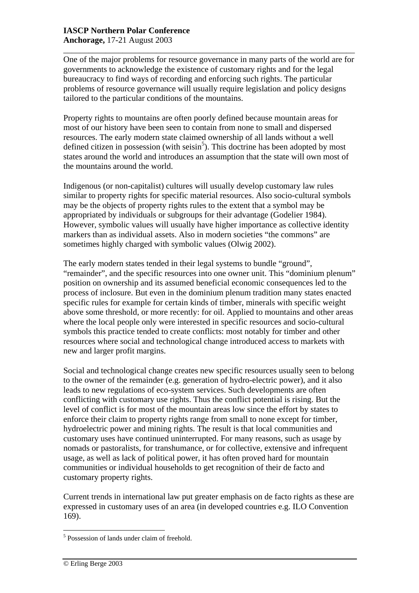\_\_\_\_\_\_\_\_\_\_\_\_\_\_\_\_\_\_\_\_\_\_\_\_\_\_\_\_\_\_\_\_\_\_\_\_\_\_\_\_\_\_\_\_\_\_\_\_\_\_\_\_\_\_\_\_\_\_\_\_\_\_\_\_\_\_\_\_\_ One of the major problems for resource governance in many parts of the world are for governments to acknowledge the existence of customary rights and for the legal bureaucracy to find ways of recording and enforcing such rights. The particular problems of resource governance will usually require legislation and policy designs tailored to the particular conditions of the mountains.

Property rights to mountains are often poorly defined because mountain areas for most of our history have been seen to contain from none to small and dispersed resources. The early modern state claimed ownership of all lands without a well defined citizen in possession (with  $seisin<sup>5</sup>$ ). This doctrine has been adopted by most states around the world and introduces an assumption that the state will own most of the mountains around the world.

Indigenous (or non-capitalist) cultures will usually develop customary law rules similar to property rights for specific material resources. Also socio-cultural symbols may be the objects of property rights rules to the extent that a symbol may be appropriated by individuals or subgroups for their advantage (Godelier 1984). However, symbolic values will usually have higher importance as collective identity markers than as individual assets. Also in modern societies "the commons" are sometimes highly charged with symbolic values (Olwig 2002).

The early modern states tended in their legal systems to bundle "ground", "remainder", and the specific resources into one owner unit. This "dominium plenum" position on ownership and its assumed beneficial economic consequences led to the process of inclosure. But even in the dominium plenum tradition many states enacted specific rules for example for certain kinds of timber, minerals with specific weight above some threshold, or more recently: for oil. Applied to mountains and other areas where the local people only were interested in specific resources and socio-cultural symbols this practice tended to create conflicts: most notably for timber and other resources where social and technological change introduced access to markets with new and larger profit margins.

Social and technological change creates new specific resources usually seen to belong to the owner of the remainder (e.g. generation of hydro-electric power), and it also leads to new regulations of eco-system services. Such developments are often conflicting with customary use rights. Thus the conflict potential is rising. But the level of conflict is for most of the mountain areas low since the effort by states to enforce their claim to property rights range from small to none except for timber, hydroelectric power and mining rights. The result is that local communities and customary uses have continued uninterrupted. For many reasons, such as usage by nomads or pastoralists, for transhumance, or for collective, extensive and infrequent usage, as well as lack of political power, it has often proved hard for mountain communities or individual households to get recognition of their de facto and customary property rights.

Current trends in international law put greater emphasis on de facto rights as these are expressed in customary uses of an area (in developed countries e.g. ILO Convention 169).

 5 Possession of lands under claim of freehold.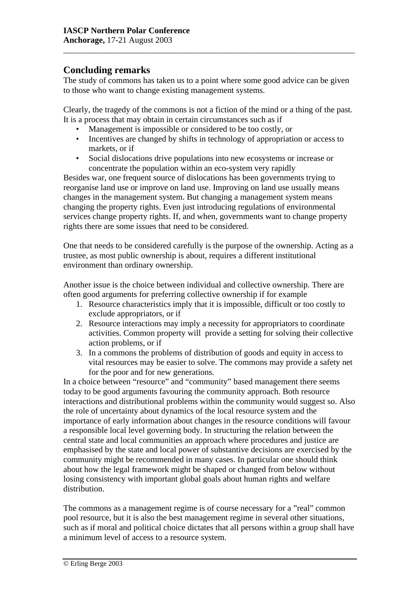## **Concluding remarks**

The study of commons has taken us to a point where some good advice can be given to those who want to change existing management systems.

\_\_\_\_\_\_\_\_\_\_\_\_\_\_\_\_\_\_\_\_\_\_\_\_\_\_\_\_\_\_\_\_\_\_\_\_\_\_\_\_\_\_\_\_\_\_\_\_\_\_\_\_\_\_\_\_\_\_\_\_\_\_\_\_\_\_\_\_\_

Clearly, the tragedy of the commons is not a fiction of the mind or a thing of the past. It is a process that may obtain in certain circumstances such as if

- Management is impossible or considered to be too costly, or
- Incentives are changed by shifts in technology of appropriation or access to markets, or if
- Social dislocations drive populations into new ecosystems or increase or concentrate the population within an eco-system very rapidly

Besides war, one frequent source of dislocations has been governments trying to reorganise land use or improve on land use. Improving on land use usually means changes in the management system. But changing a management system means changing the property rights. Even just introducing regulations of environmental services change property rights. If, and when, governments want to change property rights there are some issues that need to be considered.

One that needs to be considered carefully is the purpose of the ownership. Acting as a trustee, as most public ownership is about, requires a different institutional environment than ordinary ownership.

Another issue is the choice between individual and collective ownership. There are often good arguments for preferring collective ownership if for example

- 1. Resource characteristics imply that it is impossible, difficult or too costly to exclude appropriators, or if
- 2. Resource interactions may imply a necessity for appropriators to coordinate activities. Common property will provide a setting for solving their collective action problems, or if
- 3. In a commons the problems of distribution of goods and equity in access to vital resources may be easier to solve. The commons may provide a safety net for the poor and for new generations.

In a choice between "resource" and "community" based management there seems today to be good arguments favouring the community approach. Both resource interactions and distributional problems within the community would suggest so. Also the role of uncertainty about dynamics of the local resource system and the importance of early information about changes in the resource conditions will favour a responsible local level governing body. In structuring the relation between the central state and local communities an approach where procedures and justice are emphasised by the state and local power of substantive decisions are exercised by the community might be recommended in many cases. In particular one should think about how the legal framework might be shaped or changed from below without losing consistency with important global goals about human rights and welfare distribution.

The commons as a management regime is of course necessary for a "real" common pool resource, but it is also the best management regime in several other situations, such as if moral and political choice dictates that all persons within a group shall have a minimum level of access to a resource system.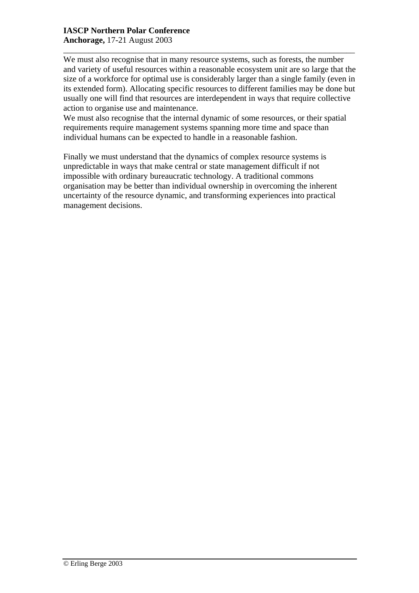#### **IASCP Northern Polar Conference Anchorage,** 17-21 August 2003

We must also recognise that in many resource systems, such as forests, the number and variety of useful resources within a reasonable ecosystem unit are so large that the size of a workforce for optimal use is considerably larger than a single family (even in its extended form). Allocating specific resources to different families may be done but usually one will find that resources are interdependent in ways that require collective action to organise use and maintenance.

\_\_\_\_\_\_\_\_\_\_\_\_\_\_\_\_\_\_\_\_\_\_\_\_\_\_\_\_\_\_\_\_\_\_\_\_\_\_\_\_\_\_\_\_\_\_\_\_\_\_\_\_\_\_\_\_\_\_\_\_\_\_\_\_\_\_\_\_\_

We must also recognise that the internal dynamic of some resources, or their spatial requirements require management systems spanning more time and space than individual humans can be expected to handle in a reasonable fashion.

Finally we must understand that the dynamics of complex resource systems is unpredictable in ways that make central or state management difficult if not impossible with ordinary bureaucratic technology. A traditional commons organisation may be better than individual ownership in overcoming the inherent uncertainty of the resource dynamic, and transforming experiences into practical management decisions.